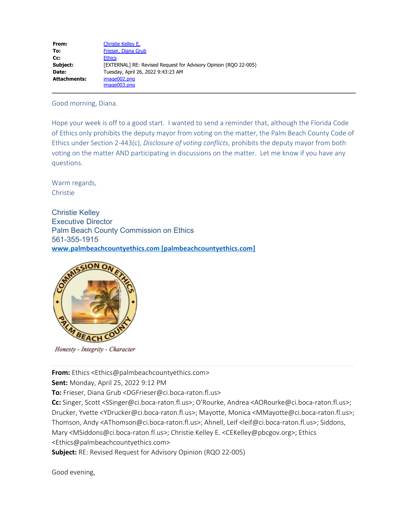| From:        | Christie Kelley E.                                               |
|--------------|------------------------------------------------------------------|
| To:          | Frieser, Diana Grub                                              |
| Cc:          | <b>Ethics</b>                                                    |
| Subject:     | [EXTERNAL] RE: Revised Request for Advisory Opinion (RQO 22-005) |
| Date:        | Tuesday, April 26, 2022 9:43:23 AM                               |
| Attachments: | image002.png<br>image003.png                                     |

Good morning, Diana.

Hope your week is off to a good start. I wanted to send a reminder that, although the Florida Code of Ethics only prohibits the deputy mayor from voting on the matter, the Palm Beach County Code of Ethics under Section 2-443(c), *Disclosure of voting conflicts*, prohibits the deputy mayor from both voting on the matter AND participating in discussions on the matter. Let me know if you have any questions.

Warm regards, Christie

Christie Kelley Executive Director Palm Beach County Commission on Ethics 561-355-1915 **[www.palmbeachcountyethics.com \[palmbeachcountyethics.com\]](https://urldefense.com/v3/__http://www.palmbeachcountyethics.com/__;!!IjeIZXpjqV3jkQ!OBnW7DrsInxwibsw8OiEtGUfdHVhRM0wwhV_lfi578uV4wb6QxMCqVkFmh-X1Ly_LbHt0Rbu_ZmRBwFJCR23wqkTIlVUbA$)**



Honesty - Integrity - Character

**From:** Ethics <Ethics@palmbeachcountyethics.com>

**Sent:** Monday, April 25, 2022 9:12 PM

**To:** Frieser, Diana Grub <DGFrieser@ci.boca-raton.fl.us>

**Cc:** Singer, Scott <SSinger@ci.boca-raton.fl.us>; O'Rourke, Andrea <AORourke@ci.boca-raton.fl.us>; Drucker, Yvette <YDrucker@ci.boca-raton.fl.us>; Mayotte, Monica <MMayotte@ci.boca-raton.fl.us>; Thomson, Andy <AThomson@ci.boca-raton.fl.us>; Ahnell, Leif <leif@ci.boca-raton.fl.us>; Siddons, Mary <MSiddons@ci.boca-raton.fl.us>; Christie Kelley E. <CEKelley@pbcgov.org>; Ethics <Ethics@palmbeachcountyethics.com>

**Subject:** RE: Revised Request for Advisory Opinion (RQO 22-005)

Good evening,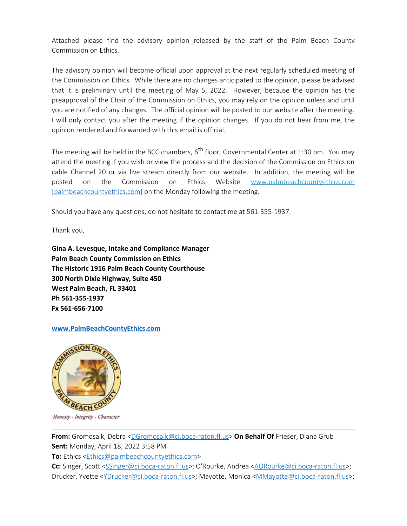Attached please find the advisory opinion released by the staff of the Palm Beach County Commission on Ethics.

The advisory opinion will become official upon approval at the next regularly scheduled meeting of the Commission on Ethics. While there are no changes anticipated to the opinion, please be advised that it is preliminary until the meeting of May 5, 2022. However, because the opinion has the preapproval of the Chair of the Commission on Ethics, you may rely on the opinion unless and until you are notified of any changes. The official opinion will be posted to our website after the meeting. I will only contact you after the meeting if the opinion changes. If you do not hear from me, the opinion rendered and forwarded with this email is official.

The meeting will be held in the BCC chambers,  $6<sup>th</sup>$  floor, Governmental Center at 1:30 pm. You may attend the meeting if you wish or view the process and the decision of the Commission on Ethics on cable Channel 20 or via live stream directly from our website. In addition, the meeting will be posted on the Commission on Ethics Website [www.palmbeachcountyethics.com](https://urldefense.com/v3/__http://www.palmbeachcountyethics.com__;!!IjeIZXpjqV3jkQ!OBnW7DrsInxwibsw8OiEtGUfdHVhRM0wwhV_lfi578uV4wb6QxMCqVkFmh-X1Ly_LbHt0Rbu_ZmRBwFJCR23wqlNCzhHHg$) [\[palmbeachcountyethics.com\]](https://urldefense.com/v3/__http://www.palmbeachcountyethics.com__;!!IjeIZXpjqV3jkQ!OBnW7DrsInxwibsw8OiEtGUfdHVhRM0wwhV_lfi578uV4wb6QxMCqVkFmh-X1Ly_LbHt0Rbu_ZmRBwFJCR23wqlNCzhHHg$) on the Monday following the meeting.

Should you have any questions, do not hesitate to contact me at 561-355-1937.

Thank you,

**Gina A. Levesque, Intake and Compliance Manager Palm Beach County Commission on Ethics The Historic 1916 Palm Beach County Courthouse 300 North Dixie Highway, Suite 450 West Palm Beach, FL 33401 Ph 561-355-1937 Fx 561-656-7100**

## **[www.PalmBeachCountyEthics.com](mailto:scullen@palmbeachcountyethics.com)**



Honesty - Integrity - Character

**From:** Gromosaik, Debra [<DGromosaik@ci.boca-raton.fl.us](mailto:DGromosaik@ci.boca-raton.fl.us)> **On Behalf Of** Frieser, Diana Grub **Sent:** Monday, April 18, 2022 3:58 PM

**To:** Ethics [<Ethics@palmbeachcountyethics.com>](mailto:Ethics@palmbeachcountyethics.com)

**Cc:** Singer, Scott [<SSinger@ci.boca-raton.fl.us>](mailto:SSinger@ci.boca-raton.fl.us); O'Rourke, Andrea <[AORourke@ci.boca-raton.fl.us](mailto:AORourke@ci.boca-raton.fl.us)>; Drucker, Yvette [<YDrucker@ci.boca-raton.fl.us](mailto:YDrucker@ci.boca-raton.fl.us)>; Mayotte, Monica [<MMayotte@ci.boca-raton.fl.us](mailto:MMayotte@ci.boca-raton.fl.us)>;